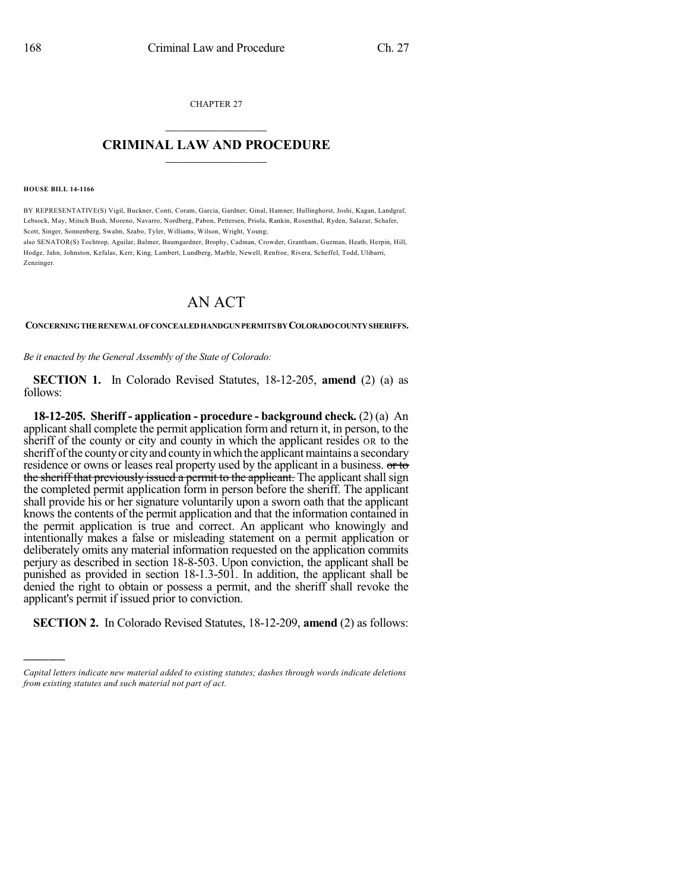CHAPTER 27  $\mathcal{L}_\text{max}$  . The set of the set of the set of the set of the set of the set of the set of the set of the set of the set of the set of the set of the set of the set of the set of the set of the set of the set of the set

## **CRIMINAL LAW AND PROCEDURE**  $\frac{1}{2}$  ,  $\frac{1}{2}$  ,  $\frac{1}{2}$  ,  $\frac{1}{2}$  ,  $\frac{1}{2}$  ,  $\frac{1}{2}$  ,  $\frac{1}{2}$

**HOUSE BILL 14-1166**

)))))

BY REPRESENTATIVE(S) Vigil, Buckner, Conti, Coram, Garcia, Gardner, Ginal, Hamner, Hullinghorst, Joshi, Kagan, Landgraf, Lebsock, May, Mitsch Bush, Moreno, Navarro, Nordberg, Pabon, Pettersen, Priola, Rankin, Rosenthal, Ryden, Salazar, Schafer, Scott, Singer, Sonnenberg, Swalm, Szabo, Tyler, Williams, Wilson, Wright, Young;

also SENATOR(S) Tochtrop, Aguilar, Balmer, Baumgardner, Brophy, Cadman, Crowder, Grantham, Guzman, Heath, Herpin, Hill, Hodge, Jahn, Johnston, Kefalas, Kerr, King, Lambert, Lundberg, Marble, Newell, Renfroe, Rivera, Scheffel, Todd, Ulibarri, Zenzinger.

## AN ACT

**CONCERNINGTHERENEWALOFCONCEALEDHANDGUNPERMITSBYCOLORADOCOUNTYSHERIFFS.**

*Be it enacted by the General Assembly of the State of Colorado:*

**SECTION 1.** In Colorado Revised Statutes, 18-12-205, **amend** (2) (a) as follows:

**18-12-205. Sheriff - application - procedure - background check.** (2) (a) An applicantshall complete the permit application form and return it, in person, to the sheriff of the county or city and county in which the applicant resides  $OR$  to the sheriff of the county or city and county in which the applicant maintains a secondary residence or owns or leases real property used by the applicant in a business. or to the sheriff that previously issued a permit to the applicant. The applicant shall sign the completed permit application form in person before the sheriff. The applicant shall provide his or her signature voluntarily upon a sworn oath that the applicant knows the contents of the permit application and that the information contained in the permit application is true and correct. An applicant who knowingly and intentionally makes a false or misleading statement on a permit application or deliberately omits any material information requested on the application commits perjury as described in section 18-8-503. Upon conviction, the applicant shall be punished as provided in section 18-1.3-501. In addition, the applicant shall be denied the right to obtain or possess a permit, and the sheriff shall revoke the applicant's permit if issued prior to conviction.

**SECTION 2.** In Colorado Revised Statutes, 18-12-209, **amend** (2) as follows:

*Capital letters indicate new material added to existing statutes; dashes through words indicate deletions from existing statutes and such material not part of act.*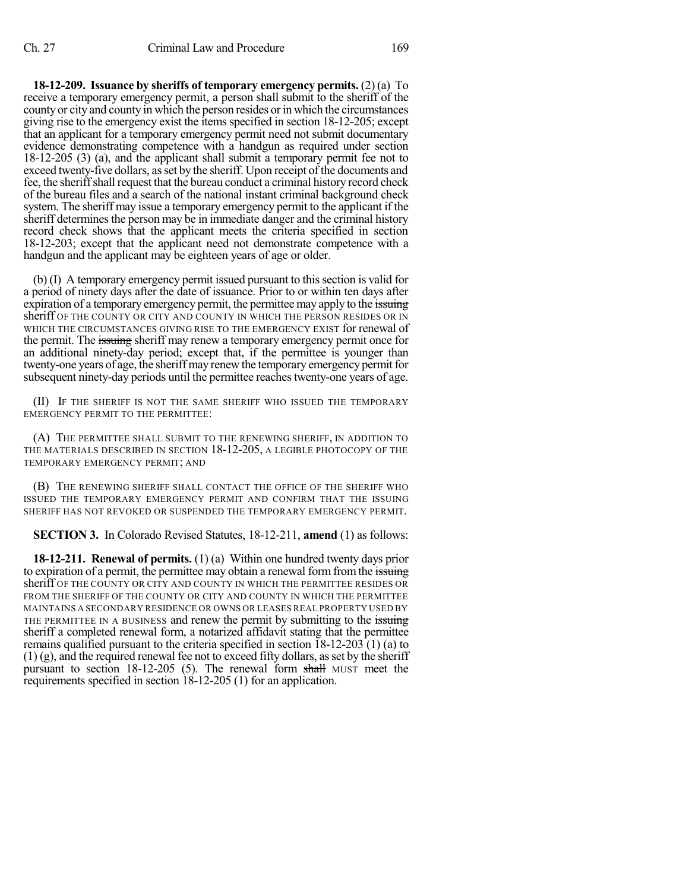**18-12-209. Issuance by sheriffs of temporary emergency permits.** (2) (a) To receive a temporary emergency permit, a person shall submit to the sheriff of the county or city and county in which the person resides or in which the circumstances giving rise to the emergency exist the items specified in section 18-12-205; except that an applicant for a temporary emergency permit need not submit documentary evidence demonstrating competence with a handgun as required under section 18-12-205 (3) (a), and the applicant shall submit a temporary permit fee not to exceed twenty-five dollars, as set by the sheriff. Upon receipt of the documents and fee, the sheriffshall request that the bureau conduct a criminal history record check of the bureau files and a search of the national instant criminal background check system. The sheriff may issue a temporary emergency permit to the applicant if the sheriff determines the person may be in immediate danger and the criminal history record check shows that the applicant meets the criteria specified in section 18-12-203; except that the applicant need not demonstrate competence with a handgun and the applicant may be eighteen years of age or older.

 $(b)$  (I) A temporary emergency permit issued pursuant to this section is valid for a period of ninety days after the date of issuance. Prior to or within ten days after expiration of a temporary emergency permit, the permittee may apply to the issuing sheriff OF THE COUNTY OR CITY AND COUNTY IN WHICH THE PERSON RESIDES OR IN WHICH THE CIRCUMSTANCES GIVING RISE TO THE EMERGENCY EXIST for renewal of the permit. The issuing sheriff may renew a temporary emergency permit once for an additional ninety-day period; except that, if the permittee is younger than twenty-one years of age, the sheriff may renew the temporary emergency permit for subsequent ninety-day periods until the permittee reaches twenty-one years of age.

(II) IF THE SHERIFF IS NOT THE SAME SHERIFF WHO ISSUED THE TEMPORARY EMERGENCY PERMIT TO THE PERMITTEE:

(A) THE PERMITTEE SHALL SUBMIT TO THE RENEWING SHERIFF, IN ADDITION TO THE MATERIALS DESCRIBED IN SECTION 18-12-205, A LEGIBLE PHOTOCOPY OF THE TEMPORARY EMERGENCY PERMIT; AND

(B) THE RENEWING SHERIFF SHALL CONTACT THE OFFICE OF THE SHERIFF WHO ISSUED THE TEMPORARY EMERGENCY PERMIT AND CONFIRM THAT THE ISSUING SHERIFF HAS NOT REVOKED OR SUSPENDED THE TEMPORARY EMERGENCY PERMIT.

**SECTION 3.** In Colorado Revised Statutes, 18-12-211, **amend** (1) as follows:

**18-12-211. Renewal of permits.** (1) (a) Within one hundred twenty days prior to expiration of a permit, the permittee may obtain a renewal form from the issuing sheriff OF THE COUNTY OR CITY AND COUNTY IN WHICH THE PERMITTEE RESIDES OR FROM THE SHERIFF OF THE COUNTY OR CITY AND COUNTY IN WHICH THE PERMITTEE MAINTAINS A SECONDARY RESIDENCE OR OWNS OR LEASES REAL PROPERTY USED BY THE PERMITTEE IN A BUSINESS and renew the permit by submitting to the issuing sheriff a completed renewal form, a notarized affidavit stating that the permittee remains qualified pursuant to the criteria specified in section 18-12-203 (1) (a) to  $(1)$  (g), and the required renewal fee not to exceed fifty dollars, as set by the sheriff pursuant to section 18-12-205 (5). The renewal form shall MUST meet the requirements specified in section 18-12-205 (1) for an application.